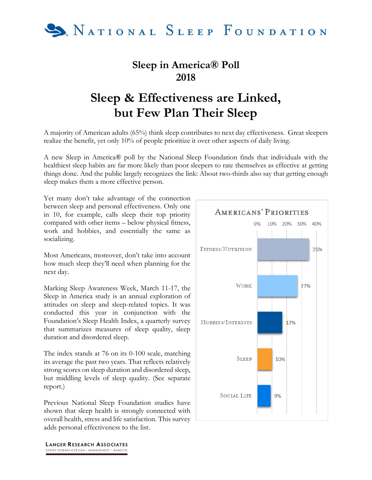

# **Sleep in America® Poll 2018**

# **Sleep & Effectiveness are Linked, but Few Plan Their Sleep**

A majority of American adults (65%) think sleep contributes to next day effectiveness. Great sleepers realize the benefit, yet only 10% of people prioritize it over other aspects of daily living.

A new Sleep in America® poll by the National Sleep Foundation finds that individuals with the healthiest sleep habits are far more likely than poor sleepers to rate themselves as effective at getting things done. And the public largely recognizes the link: About two-thirds also say that getting enough sleep makes them a more effective person.

Yet many don't take advantage of the connection between sleep and personal effectiveness. Only one in 10, for example, calls sleep their top priority compared with other items – below physical fitness, work and hobbies, and essentially the same as socializing.

Most Americans, moreover, don't take into account how much sleep they'll need when planning for the next day.

Marking Sleep Awareness Week, March 11-17, the Sleep in America study is an annual exploration of attitudes on sleep and sleep-related topics. It was conducted this year in conjunction with the Foundation's Sleep Health Index, a quarterly survey that summarizes measures of sleep quality, sleep duration and disordered sleep.

The index stands at 76 on its 0-100 scale, matching its average the past two years. That reflects relatively strong scores on sleep duration and disordered sleep, but middling levels of sleep quality. (See separate report.)

Previous National Sleep Foundation studies have shown that sleep health is strongly connected with overall health, stress and life satisfaction. This survey adds personal effectiveness to the list.



**LANGER RESEARCH ASSOCIATES** SURVEY RESEARCH DESIGN · MANAGEMENT · ANALYSIS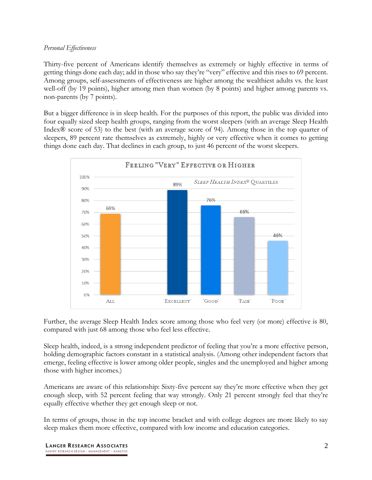## *Personal Effectiveness*

Thirty-five percent of Americans identify themselves as extremely or highly effective in terms of getting things done each day; add in those who say they're "very" effective and this rises to 69 percent. Among groups, self-assessments of effectiveness are higher among the wealthiest adults vs. the least well-off (by 19 points), higher among men than women (by 8 points) and higher among parents vs. non-parents (by 7 points).

But a bigger difference is in sleep health. For the purposes of this report, the public was divided into four equally sized sleep health groups, ranging from the worst sleepers (with an average Sleep Health Index® score of 53) to the best (with an average score of 94). Among those in the top quarter of sleepers, 89 percent rate themselves as extremely, highly or very effective when it comes to getting things done each day. That declines in each group, to just 46 percent of the worst sleepers.



Further, the average Sleep Health Index score among those who feel very (or more) effective is 80, compared with just 68 among those who feel less effective.

Sleep health, indeed, is a strong independent predictor of feeling that you're a more effective person, holding demographic factors constant in a statistical analysis. (Among other independent factors that emerge, feeling effective is lower among older people, singles and the unemployed and higher among those with higher incomes.)

Americans are aware of this relationship: Sixty-five percent say they're more effective when they get enough sleep, with 52 percent feeling that way strongly. Only 21 percent strongly feel that they're equally effective whether they get enough sleep or not.

In terms of groups, those in the top income bracket and with college degrees are more likely to say sleep makes them more effective, compared with low income and education categories.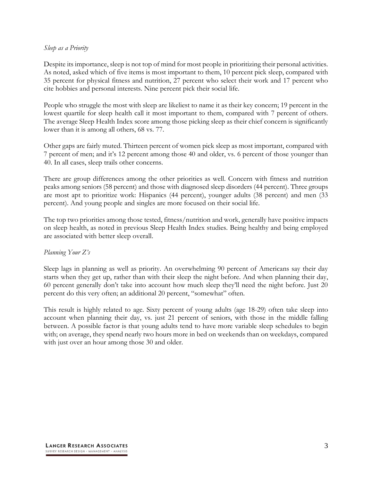## *Sleep as a Priority*

Despite its importance, sleep is not top of mind for most people in prioritizing their personal activities. As noted, asked which of five items is most important to them, 10 percent pick sleep, compared with 35 percent for physical fitness and nutrition, 27 percent who select their work and 17 percent who cite hobbies and personal interests. Nine percent pick their social life.

People who struggle the most with sleep are likeliest to name it as their key concern; 19 percent in the lowest quartile for sleep health call it most important to them, compared with 7 percent of others. The average Sleep Health Index score among those picking sleep as their chief concern is significantly lower than it is among all others, 68 vs. 77.

Other gaps are fairly muted. Thirteen percent of women pick sleep as most important, compared with 7 percent of men; and it's 12 percent among those 40 and older, vs. 6 percent of those younger than 40. In all cases, sleep trails other concerns.

There are group differences among the other priorities as well. Concern with fitness and nutrition peaks among seniors (58 percent) and those with diagnosed sleep disorders (44 percent). Three groups are most apt to prioritize work: Hispanics (44 percent), younger adults (38 percent) and men (33 percent). And young people and singles are more focused on their social life.

The top two priorities among those tested, fitness/nutrition and work, generally have positive impacts on sleep health, as noted in previous Sleep Health Index studies. Being healthy and being employed are associated with better sleep overall.

## *Planning Your Z's*

Sleep lags in planning as well as priority. An overwhelming 90 percent of Americans say their day starts when they get up, rather than with their sleep the night before. And when planning their day, 60 percent generally don't take into account how much sleep they'll need the night before. Just 20 percent do this very often; an additional 20 percent, "somewhat" often.

This result is highly related to age. Sixty percent of young adults (age 18-29) often take sleep into account when planning their day, vs. just 21 percent of seniors, with those in the middle falling between. A possible factor is that young adults tend to have more variable sleep schedules to begin with; on average, they spend nearly two hours more in bed on weekends than on weekdays, compared with just over an hour among those 30 and older.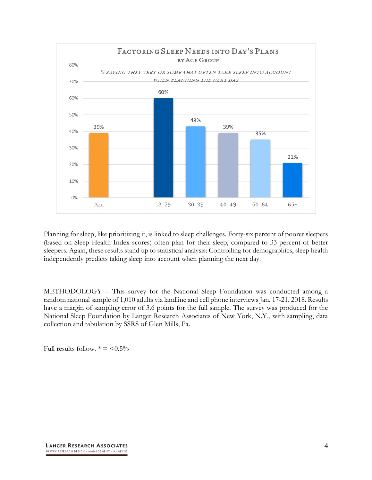

Planning for sleep, like prioritizing it, is linked to sleep challenges. Forty-six percent of poorer sleepers (based on Sleep Health Index scores) often plan for their sleep, compared to 33 percent of better sleepers. Again, these results stand up to statistical analysis: Controlling for demographics, sleep health independently predicts taking sleep into account when planning the next day.

METHODOLOGY – This survey for the National Sleep Foundation was conducted among a random national sample of 1,010 adults via landline and cell phone interviews Jan. 17-21, 2018. Results have a margin of sampling error of 3.6 points for the full sample. The survey was produced for the National Sleep Foundation by Langer Research Associates of New York, N.Y., with sampling, data collection and tabulation by SSRS of Glen Mills, Pa.

Full results follow.  $* = 5\%$